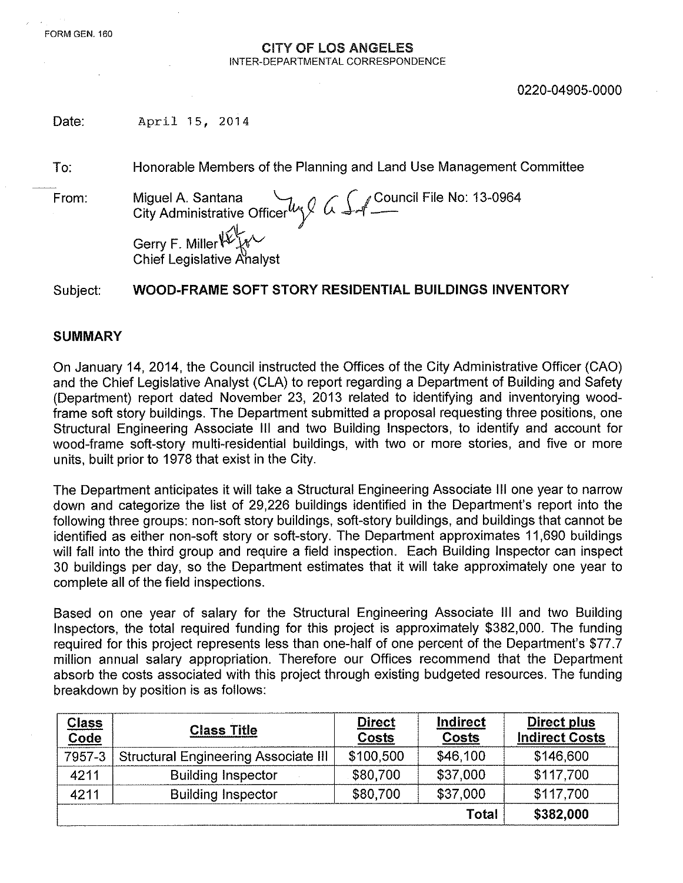## CITY OF LOS ANGELES INTER-DEPARTMENTAL CORRESPONDENCE

Date: April 15, 2014

To: Honorable Members of the Planning and Land Use Management Committee

From: Miguel A. Santana *'flu () /' r:* ,Council File No: 13-0964 City Administrative Officer $\mathscr{W} \mathscr{Y} \ \omega \blacktriangleleft\mathscr{A}$  — Gerry F. Miller

**Chief Legislative Analyst** 

Subject: WOOD-FRAME SOFT STORY RESIDENTIAL BUILDINGS INVENTORY

## SUMMARY

On January 14, 2014, the Council instructed the Offices of the City Administrative Officer (CAO) and the Chief Legislative Analyst (CLA) to report regarding a Department of Building and Safety (Department) report dated November 23, 2013 related to identifying and inventorying woodframe soft story buildings. The Department submitted a proposal requesting three positions, one Structural Engineering Associate III and two Building Inspectors, to identify and account for wood-frame soft-story multi-residential buildings, with two or more stories, and five or more units, built prior to 1978 that exist in the City.

The Department anticipates it will take a Structural Engineering Associate III one year to narrow down and categorize the list of 29,226 buildings identified in the Department's report into the following three groups: non-soft story buildings, soft-story buildings, and buildings that cannot be identified as either non-soft story or soft-story. The Department approximates 11,690 buildings will fall into the third group and require a field inspection. Each Building Inspector can inspect 30 buildings per day, so the Department estimates that it will take approximately one year to complete all of the field inspections.

Based on one year of salary for the Structural Engineering Associate III and two Building Inspectors, the total required funding for this project is approximately \$382,000. The funding required for this project represents less than one-half of one percent of the Department's \$77.7 million annual salary appropriation. Therefore our Offices recommend that the Department absorb the costs associated with this project through existing budgeted resources. The funding breakdown by position is as follows:

| <b>Class</b><br>Code | <b>Class Title</b>                          | <b>Direct</b><br>Costs | Indirect<br>Costs | Direct plus<br><b>Indirect Costs</b> |
|----------------------|---------------------------------------------|------------------------|-------------------|--------------------------------------|
| 7957-3               | <b>Structural Engineering Associate III</b> | \$100,500              | \$46,100          | \$146,600                            |
| 4211                 | <b>Building Inspector</b>                   | \$80,700               | \$37,000          | \$117,700                            |
| 4211                 | <b>Building Inspector</b>                   | \$80,700               | \$37,000          | \$117,700                            |
|                      |                                             |                        | <b>Total</b>      | \$382,000                            |